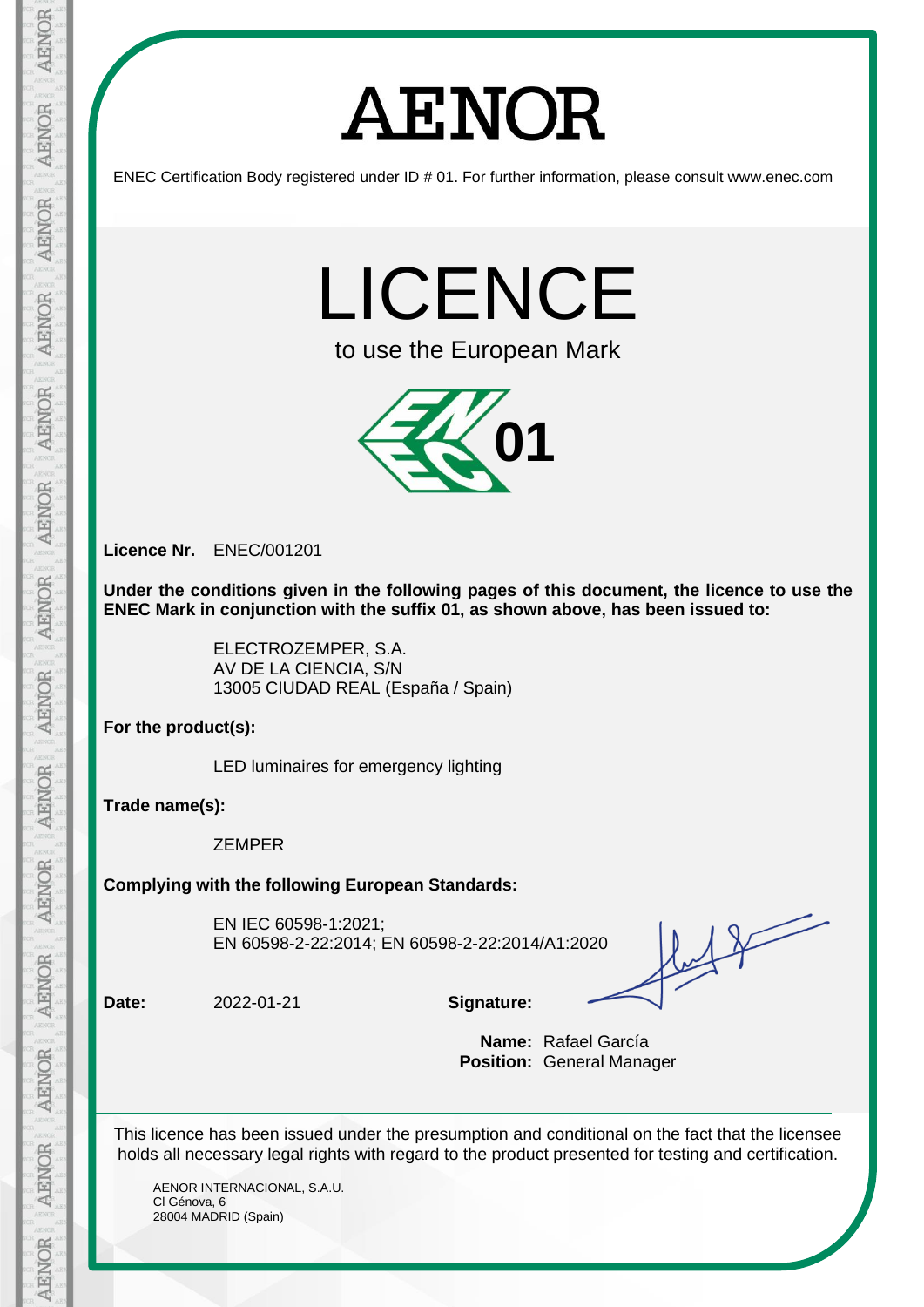# **AENOR**

ENEC Certification Body registered under ID # 01. For further information, please consult www.enec.com

LICENCE

to use the European Mark



**Licence Nr.** ENEC/001201

**Under the conditions given in the following pages of this document, the licence to use the ENEC Mark in conjunction with the suffix 01, as shown above, has been issued to:** 

> ELECTROZEMPER, S.A. AV DE LA CIENCIA, S/N 13005 CIUDAD REAL (España / Spain)

**For the product(s):**

LED luminaires for emergency lighting

**Trade name(s):**

ZEMPER

**Complying with the following European Standards:**

EN IEC 60598-1:2021; EN 60598-2-22:2014; EN 60598-2-22:2014/A1:2020

 $12$ 

**Date:** 2022-01-21 **Signature:**

**Name:** Rafael García **Position:** General Manager

This licence has been issued under the presumption and conditional on the fact that the licensee holds all necessary legal rights with regard to the product presented for testing and certification.

AENOR INTERNACIONAL, S.A.U. Cl Génova, 6 28004 MADRID (Spain)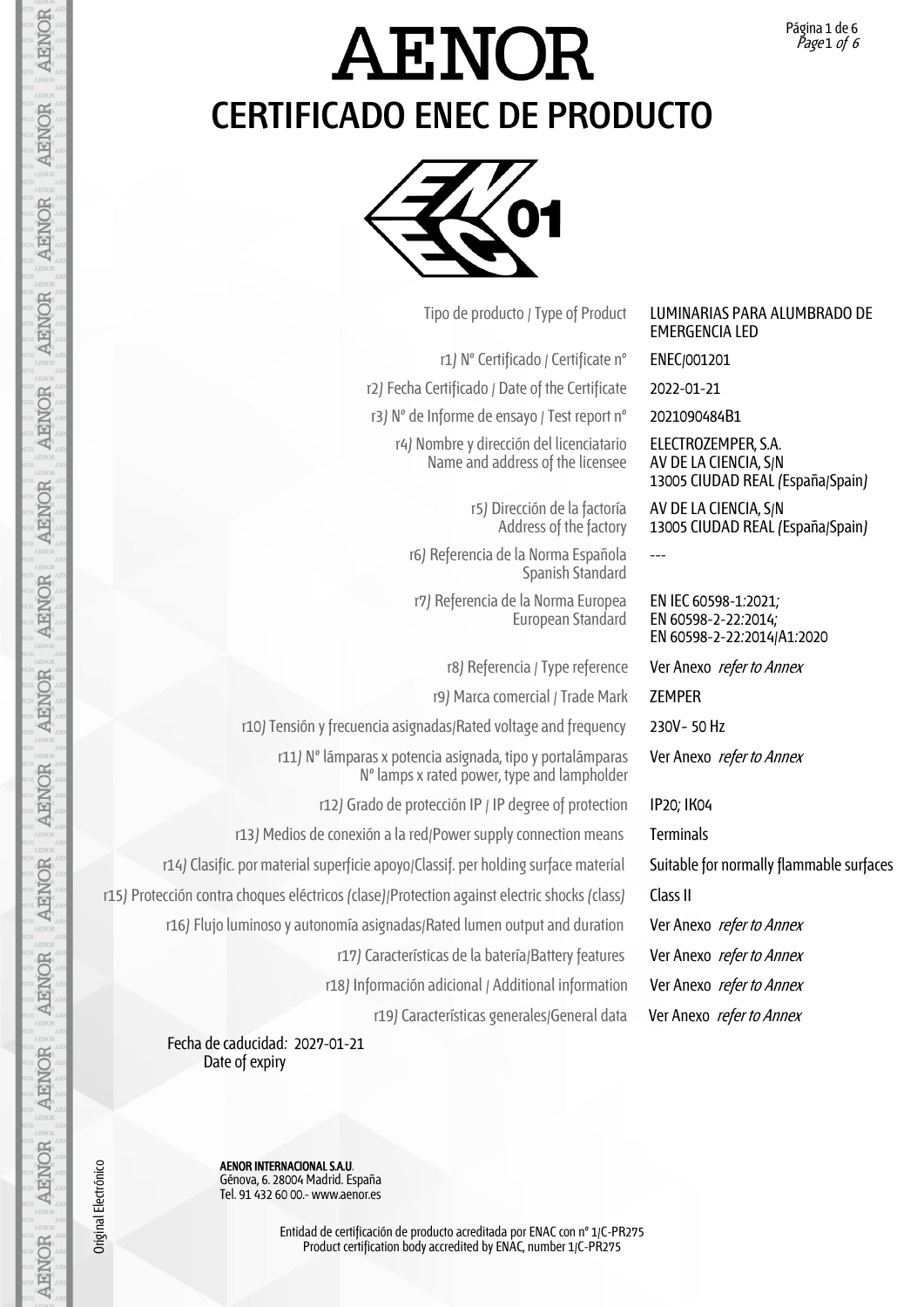EMERGENCIA LED

ELECTROZEMPER, S.A. AV DE LA CIENCIA, S/N

AV DE LA CIENCIA, S/N

EN IEC 60598-1:2021; EN 60598-2-22:2014; EN 60598-2-22:2014/A1:2020

Ver Anexo refer to Annex

---

13005 CIUDAD REAL (España/Spain)

13005 CIUDAD REAL (España/Spain)

### **AENOR CERTIFICADO ENEC DE PRODUCTO**



Tipo de producto / Type of Product LUMINARIAS PARA ALUMBRADO DE

r1) Nº Certificado / Certificate nº ENEC/001201 r2) Fecha Certificado / Date of the Certificate 2022-01-21 r3) Nº de Informe de ensayo / Test report nº 2021090484B1 r4) Nombre y dirección del licenciatario Name and address of the licensee

> r5) Dirección de la factoría Address of the factory

r6) Referencia de la Norma Española Spanish Standard

r7) Referencia de la Norma Europea European Standard

r8) Referencia / Type reference Ver Anexo refer to Annex

r9) Marca comercial / Trade Mark ZEMPER

r10) Tensión y frecuencia asignadas/Rated voltage and frequency 230V~ 50 Hz

r11) Nº lámparas x potencia asignada, tipo y portalámparas Nº lamps x rated power, type and lampholder

r12) Grado de protección IP / IP degree of protection IP20; IK04

r13) Medios de conexión a la red/Power supply connection means Terminals

r14) Clasific. por material superficie apoyo/Classif. per holding surface material Suitable for normally flammable surfaces

r15) Protección contra choques eléctricos (clase)/Protection against electric shocks (class) Class II

r16) Flujo luminoso y autonomía asignadas/Rated lumen output and duration Ver Anexo refer to Annex

r17) Características de la batería/Battery features Ver Anexo refer to Annex

r18) Información adicional / Additional information Ver Anexo refer to Annex

r19) Características generales/General data Ver Anexo refer to Annex

 Fecha de caducidad: 2027-01-21 Date of expiry

AENOR INTERNACIONAL SAU.<br>
Génova, 6. 28004 Madrid. Es<br>
Tel. 91 432 60 00.- www.aer<br>
Tel. 91 432 60 00.- www.aer<br>
Entidad de certi Génova, 6. 28004 Madrid. España Tel. 91 432 60 00.- www.aenor.es

Entidad de certificación de producto acreditada por ENAC con nº 1/C-PR275 Product certification body accredited by ENAC, number 1/C-PR275

Original Electrónico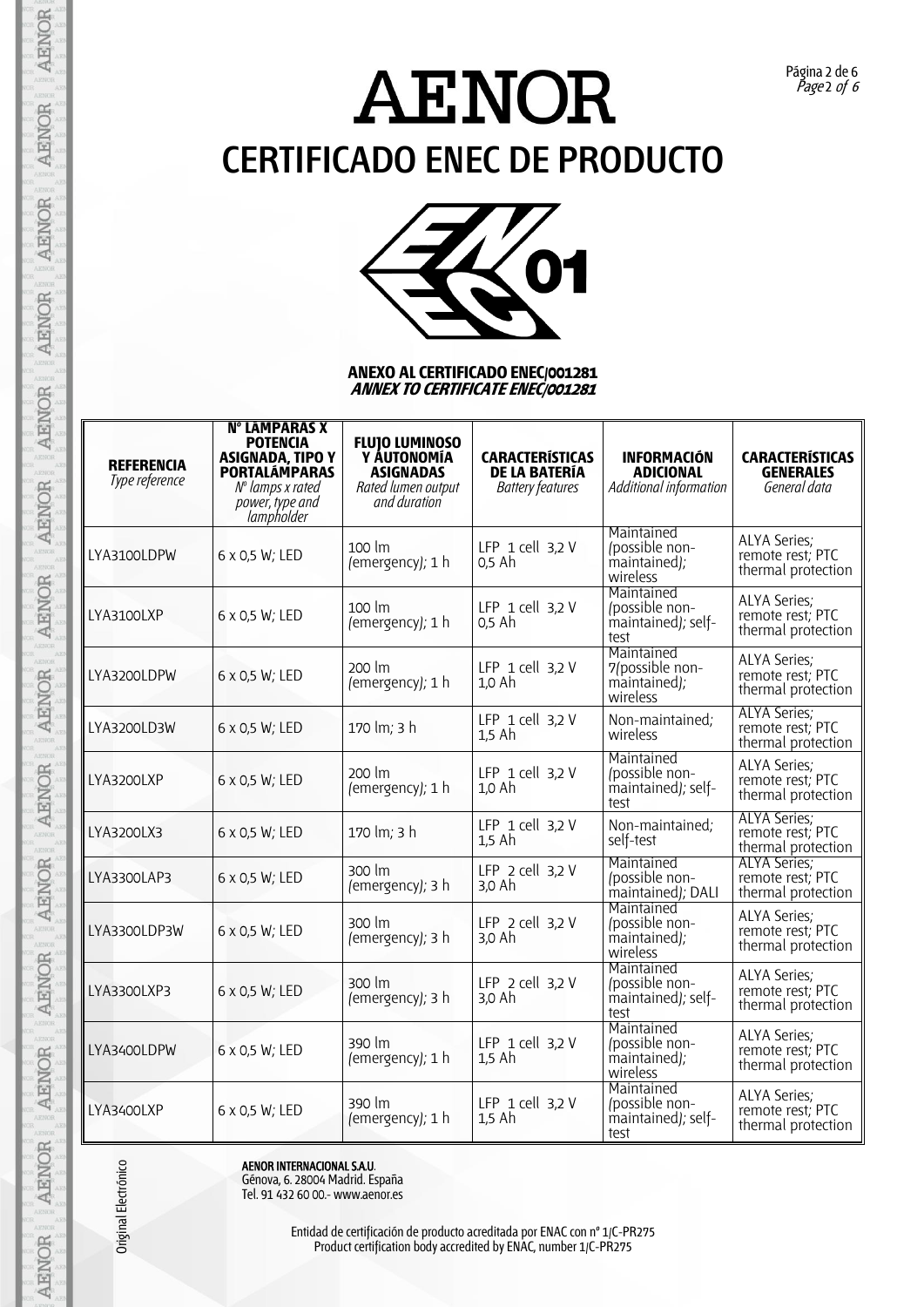Página 2 de 6 Page 2 of 6



#### **ANEXO AL CERTIFICADO ENEC/001281 ANNEX TO CERTIFICATE ENEC/001281**

| <b>REFERENCIA</b><br>Type reference | N° LÁMPARAS X<br><b>POTENCIA</b><br><b>ASIGNADA, TIPO Y</b><br><b>PORTALÁMPARAS</b><br>$No$ lamps x rated<br>power, type and<br>lampholder | <b>FLUJO LUMINOSO</b><br>Y ÁUTONOMÍA<br><b>ASIGNADAS</b><br>Rated lumen output<br>and duration | <b>CARACTERÍSTICAS</b><br><b>DE LA BATERÍA</b><br><b>Battery features</b> | <b>INFORMACIÓN</b><br><b>ADICIONAL</b><br>Additional information | <b>CARACTERÍSTICAS</b><br><b>GENERALES</b><br>General data    |
|-------------------------------------|--------------------------------------------------------------------------------------------------------------------------------------------|------------------------------------------------------------------------------------------------|---------------------------------------------------------------------------|------------------------------------------------------------------|---------------------------------------------------------------|
| LYA3100LDPW                         | 6 x 0,5 W; LED                                                                                                                             | 100 lm<br>(emergency); 1 h                                                                     | LFP $1$ cell $3,2$ V<br>0,5 Ah                                            | Maintained<br>(possible non-<br>maintained);<br>wireless         | <b>ALYA Series;</b><br>remote rest; PTC<br>thermal protection |
| LYA3100LXP                          | 6 x 0,5 W; LED                                                                                                                             | 100 lm<br>(emergency); 1 h                                                                     | LFP 1 cell 3,2 V<br>0,5 Ah                                                | Maintained<br>(possible non-<br>maintained); self-<br>test       | <b>ALYA Series;</b><br>remote rest; PTC<br>thermal protection |
| LYA3200LDPW                         | 6 x 0,5 W; LED                                                                                                                             | 200 lm<br>(emergency); 1 h                                                                     | LFP $1$ cell $3,2$ V<br>1,0 Ah                                            | Maintained<br>7(possible non-<br>maintained);<br>wireless        | <b>ALYA Series;</b><br>remote rest; PTC<br>thermal protection |
| LYA3200LD3W                         | 6 x 0,5 W; LED                                                                                                                             | 170 lm; 3 h                                                                                    | LFP 1 cell 3,2 V<br>1,5 Ah                                                | Non-maintained;<br>wireless                                      | <b>ALYA Series:</b><br>remote rest; PTC<br>thermal protection |
| LYA3200LXP                          | 6 x 0,5 W; LED                                                                                                                             | 200 lm<br>(emergency); 1 h                                                                     | LFP $1$ cell $3.2$ V<br>1,0 Ah                                            | Maintained<br>(possible non-<br>maintained); self-<br>test       | <b>ALYA Series;</b><br>remote rest; PTC<br>thermal protection |
| LYA3200LX3                          | 6 x 0,5 W; LED                                                                                                                             | 170 lm; 3 h                                                                                    | LFP $1$ cell $3,2$ V<br>$1,5$ Ah                                          | Non-maintained;<br>self-test                                     | ALYA Series;<br>remote rest; PTC<br>thermal protection        |
| LYA3300LAP3                         | 6 x 0,5 W; LED                                                                                                                             | 300 lm<br>(emergency); 3 h                                                                     | LFP $2$ cell $3,2$ V<br>3,0 Ah                                            | Maintained<br>/possible non-<br>maintained); DALI                | <b>ALYA Series:</b><br>remote rest; PTC<br>thermal protection |
| LYA3300LDP3W                        | 6 x 0,5 W; LED                                                                                                                             | 300 lm<br>(emergency); 3 h                                                                     | LFP $2$ cell $3,2$ V<br>3,0 Ah                                            | Maintained<br>/possible non-<br>maintained);<br>wireless         | <b>ALYA Series;</b><br>remote rest; PTC<br>thermal protection |
| LYA3300LXP3                         | 6 x 0,5 W; LED                                                                                                                             | 300 lm<br>(emergency); 3 h                                                                     | LFP $2$ cell $3,2$ V<br>3,0 Ah                                            | Maintained<br>(possible non-<br>maintained); self-<br>test       | <b>ALYA Series;</b><br>remote rest; PTC<br>thermal protection |
| LYA3400LDPW                         | 6 x 0,5 W; LED                                                                                                                             | 390 lm<br>(emergency); 1 h                                                                     | LFP $1$ cell $3.2$ V<br>$1.5$ Ah                                          | Maintained<br>(possible non-<br>maintained);<br>wireless         | <b>ALYA Series;</b><br>remote rest; PTC<br>thermal protection |
| LYA3400LXP                          | 6 x 0,5 W; LED                                                                                                                             | 390 lm<br>(emergency); 1 h                                                                     | LFP $1$ cell $3,2$ V<br>$1.5$ Ah                                          | Maintained<br>(possible non-<br>maintained); self-<br>test       | <b>ALYA Series;</b><br>remote rest; PTC<br>thermal protection |

Original Electrónico

**AENOR** 

**AENOR** 

AENOR

AENOR

**AENOR** 

**AENOR** 

**AENOR** 

AENOR

**AENOR** 

AENOR

**AENOR** 

**AENOR** 

AENOR

AENOR

Example 12<br>
AENOR INTERNACIONAL SAU.<br>
Génova, 6. 28004 Madrid. Es<br>
Tel. 91 432 60 00.- www.aer<br>
Entidad de certific<br>
Product certific Génova, 6. 28004 Madrid. España Tel. 91 432 60 00.- www.aenor.es

Entidad de certificación de producto acreditada por ENAC con nº 1/C-PR275 Product certification body accredited by ENAC, number 1/C-PR275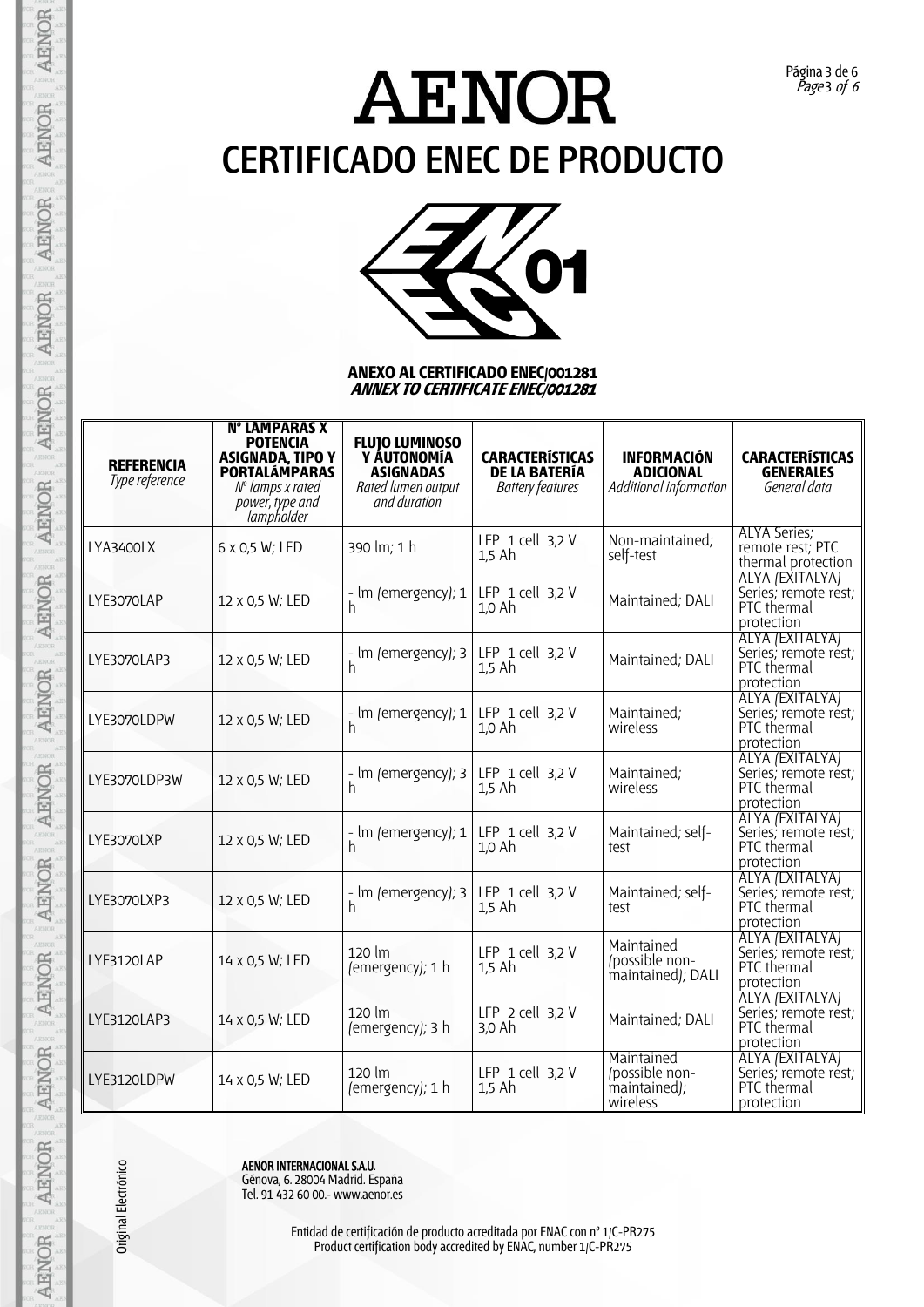

#### **ANEXO AL CERTIFICADO ENEC/001281 ANNEX TO CERTIFICATE ENEC/001281**

| <b>REFERENCIA</b><br>Type reference | <b>N° LÁMPARAS X</b><br><b>POTENCIA</b><br><b>ASIGNADA, TIPO Y</b><br><b>PORTALÁMPARAS</b><br>$No$ lamps x rated<br>power, type and<br>lampholder | <b>FLUIO LUMINOSO</b><br>Y AUTONOMÍA<br><b>ASIGNADAS</b><br>Rated lumen output<br>and duration | <b>CARACTERÍSTICAS</b><br><b>DE LA BATERÍA</b><br><b>Battery features</b> | <b>INFORMACIÓN</b><br><b>ADICIONAL</b><br>Additional information | <b>CARACTERÍSTICAS</b><br><b>GENERALES</b><br>General data           |
|-------------------------------------|---------------------------------------------------------------------------------------------------------------------------------------------------|------------------------------------------------------------------------------------------------|---------------------------------------------------------------------------|------------------------------------------------------------------|----------------------------------------------------------------------|
| LYA3400LX                           | 6 x 0,5 W; LED                                                                                                                                    | 390 lm; 1 h                                                                                    | LFP 1 cell 3,2 V<br>$1,5$ Ah                                              | Non-maintained;<br>self-test                                     | <b>ALYA Series;</b><br>remote rest; PTC<br>thermal protection        |
| LYE3070LAP                          | 12 x 0,5 W; LED                                                                                                                                   | - Im (emergency); 1<br>h                                                                       | LFP $1$ cell $3,2$ V<br>1,0 Ah                                            | Maintained; DALI                                                 | ALYA (EXITALYA)<br>Series; remote rest;<br>PTC thermal<br>protection |
| LYE3070LAP3                         | 12 x 0,5 W; LED                                                                                                                                   | - Im (emergency); 3<br>h                                                                       | LFP $1$ cell $3,2$ V<br>$1,5$ Ah                                          | Maintained; DALI                                                 | ALYA (EXITALYA)<br>Series; remote rest;<br>PTC thermal<br>protection |
| LYE3070LDPW                         | 12 x 0,5 W; LED                                                                                                                                   | - Im (emergency); $1 \mid$<br>h                                                                | LFP $1$ cell $3,2$ V<br>1,0 Ah                                            | Maintained;<br>wireless                                          | ALYA (EXITALYA)<br>Series; remote rest;<br>PTC thermal<br>protection |
| LYE3070LDP3W                        | 12 x 0,5 W; LED                                                                                                                                   | - Im (emergency); 3<br>h                                                                       | LFP $1$ cell $3,2$ V<br>$1.5$ Ah                                          | Maintained;<br>wireless                                          | ALYA (EXITALYA)<br>Series; remote rest;<br>PTC thermal<br>protection |
| LYE3070LXP                          | 12 x 0,5 W; LED                                                                                                                                   | - Im (emergency); 1<br>h                                                                       | LFP 1 cell 3,2 V<br>1,0 Ah                                                | Maintained; self-<br>test                                        | ALYA (EXITALYA)<br>Series; remote rest;<br>PTC thermal<br>protection |
| LYE3070LXP3                         | 12 x 0,5 W; LED                                                                                                                                   | - Im (emergency); 3<br>h                                                                       | LFP $1$ cell $3,2$ V<br>$1.5$ Ah                                          | Maintained; self-<br>test                                        | ALYA (EXITALYA)<br>Series; remote rest;<br>PTC thermal<br>protection |
| LYE3120LAP                          | 14 x 0,5 W; LED                                                                                                                                   | 120 lm<br>(emergency); 1 h                                                                     | LFP $1$ cell $3,2$ V<br>$1.5$ Ah                                          | Maintained<br>(possible non-<br>maintained); DALI                | ALYA (EXITALYA)<br>Series; remote rest;<br>PTC thermal<br>protection |
| LYE3120LAP3                         | 14 x 0,5 W; LED                                                                                                                                   | 120 lm<br>(emergency); 3 h                                                                     | LFP $2$ cell $3,2$ V<br>3,0 Ah                                            | Maintained; DALI                                                 | ALYA (EXITALYA)<br>Series; remote rest;<br>PTC thermal<br>protection |
| LYE3120LDPW                         | 14 x 0,5 W; LED                                                                                                                                   | 120 lm<br>(emergency); 1 h                                                                     | LFP $1$ cell $3,2$ V<br>$1.5$ Ah                                          | Maintained<br>/possible non-<br>maintained);<br>wireless         | ALYA (EXITALYA)<br>Series; remote rest;<br>PTC thermal<br>protection |

**AENOR** 

**AENOR** 

AENOR

AENOR

**AENOR** 

**AENOR** 

Original Electrónico

Example 12<br>
AENOR INTERNACIONAL SAU.<br>
Génova, 6. 28004 Madrid. Es<br>
Tel. 91 432 60 00.- www.aer<br>
Entidad de certific<br>
Product certific Génova, 6. 28004 Madrid. España Tel. 91 432 60 00.- www.aenor.es

Entidad de certificación de producto acreditada por ENAC con nº 1/C-PR275 Product certification body accredited by ENAC, number 1/C-PR275

Página 3 de 6 Page 3 of 6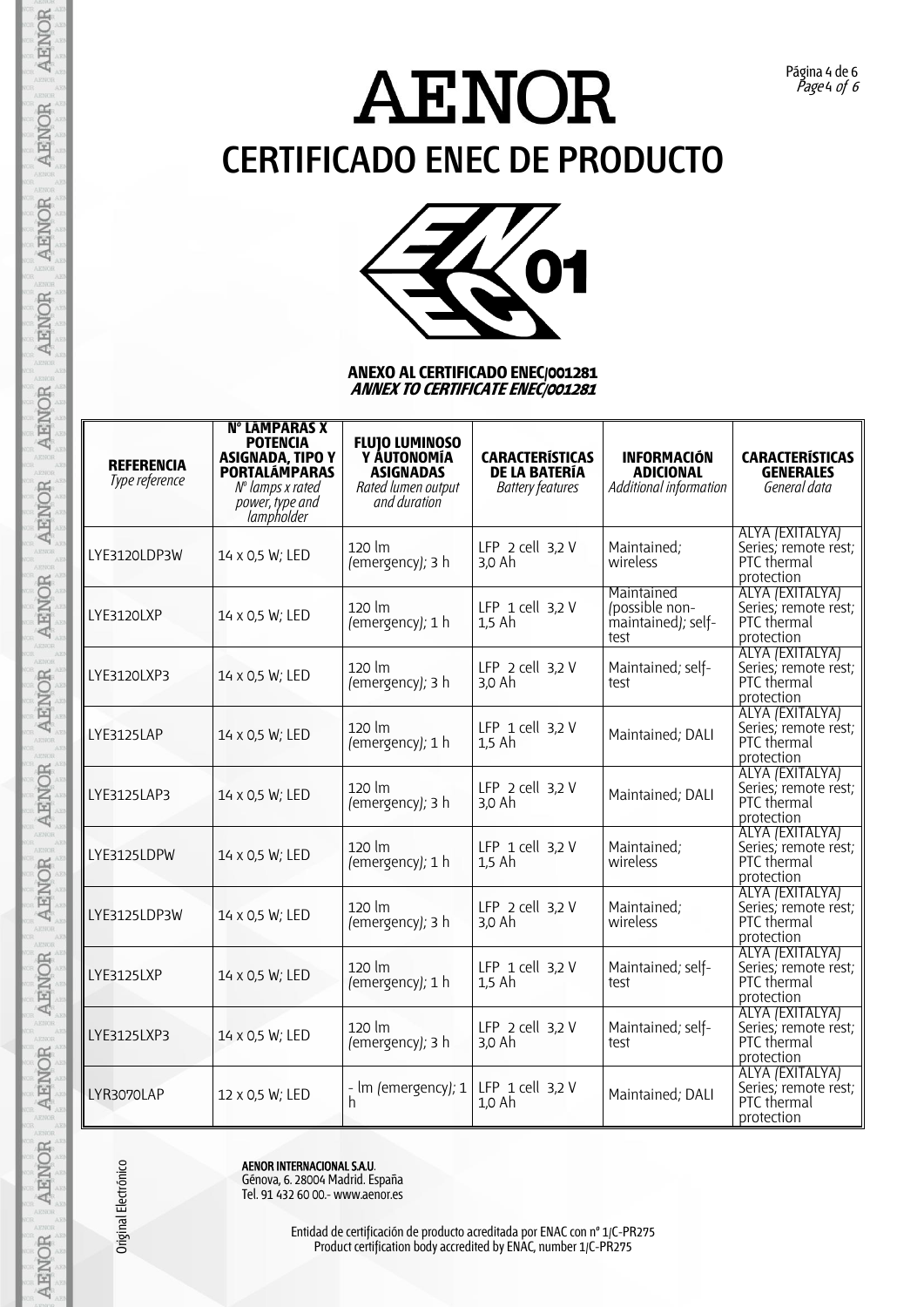

#### **ANEXO AL CERTIFICADO ENEC/001281 ANNEX TO CERTIFICATE ENEC/001281**

| <b>REFERENCIA</b><br>Type reference | N° LÁMPARAS X<br><b>POTENCIA</b><br><b>ASIGNADA, TIPO Y</b><br><b>PORTALÁMPARAS</b><br>$No$ lamps x rated<br>power, type and<br>lampholder | <b>FLUIO LUMINOSO</b><br>Y ÁUTONOMÍA<br><b>ASIGNADAS</b><br>Rated lumen output<br>and duration | <b>CARACTERÍSTICAS</b><br><b>DE LA BATERÍA</b><br><b>Battery features</b> | <b>INFORMACIÓN</b><br><b>ADICIONAL</b><br>Additional information | <b>CARACTERÍSTICAS</b><br><b>GENERALES</b><br>General data           |
|-------------------------------------|--------------------------------------------------------------------------------------------------------------------------------------------|------------------------------------------------------------------------------------------------|---------------------------------------------------------------------------|------------------------------------------------------------------|----------------------------------------------------------------------|
| LYE3120LDP3W                        | 14 x 0,5 W; LED                                                                                                                            | $120 \text{ }$ lm<br>(emergency); 3 h                                                          | LFP $2$ cell $3,2$ V<br>3,0 Ah                                            | Maintained;<br>wireless                                          | ALYA (EXITALYA)<br>Series; remote rest;<br>PTC thermal<br>protection |
| LYE3120LXP                          | 14 x 0,5 W; LED                                                                                                                            | $120 \text{ }$ lm<br>(emergency); 1 h                                                          | LFP $1$ cell $3,2$ V<br>$1,5$ Ah                                          | Maintained<br>(possible non-<br>maintained); self-<br>test       | ALYA (EXITALYA)<br>Series, remote rest;<br>PTC thermal<br>protection |
| LYE3120LXP3                         | 14 x 0,5 W; LED                                                                                                                            | 120 lm<br>(emergency); 3 h                                                                     | LFP $2$ cell $3,2$ V<br>3,0 Ah                                            | Maintained; self-<br>test                                        | ALYA (EXITALYA)<br>Series; remote rest;<br>PTC thermal<br>protection |
| LYE3125LAP                          | 14 x 0,5 W; LED                                                                                                                            | 120 lm<br>(emergency); 1 h                                                                     | LFP $1$ cell $3,2$ V<br>$1.5$ Ah                                          | Maintained; DALI                                                 | ALYA (EXITALYA)<br>Series; remote rest;<br>PTC thermal<br>protection |
| LYE3125LAP3                         | 14 x 0,5 W; LED                                                                                                                            | 120 lm<br>(emergency); 3 h                                                                     | LFP $2$ cell $3,2$ V<br>3,0 Ah                                            | Maintained; DALI                                                 | ALYA (EXITALYA)<br>Series; remote rest;<br>PTC thermal<br>protection |
| LYE3125LDPW                         | 14 x 0,5 W; LED                                                                                                                            | 120 lm<br>(emergency); 1 h                                                                     | LFP $1$ cell $3,2$ V<br>$1,5$ Ah                                          | Maintained;<br>wireless                                          | ALYA (EXITALYA)<br>Series; remote rest;<br>PTC thermal<br>protection |
| LYE3125LDP3W                        | 14 x 0,5 W; LED                                                                                                                            | 120 lm<br>(emergency); 3 h                                                                     | LFP $2$ cell $3,2$ V<br>3,0 Ah                                            | Maintained;<br>wireless                                          | ALYA (EXITALYA)<br>Series; remote rest;<br>PTC thermal<br>protection |
| <b>LYE3125LXP</b>                   | 14 x 0,5 W; LED                                                                                                                            | $120 \mathrm{lm}$<br>(emergency); 1 h                                                          | LFP $1$ cell $3.2$ V<br>$1.5$ Ah                                          | Maintained; self-<br>test                                        | ALYA (EXITALYA)<br>Series; remote rest;<br>PTC thermal<br>protection |
| LYE3125LXP3                         | 14 x 0,5 W; LED                                                                                                                            | $120 \text{ }$ lm<br>(emergency); 3 h                                                          | LFP $2$ cell $3,2$ V<br>3,0 Ah                                            | Maintained; self-<br>test                                        | ALYA (EXITALYA)<br>Series; remote rest;<br>PTC thermal<br>protection |
| LYR3070LAP                          | 12 x 0,5 W; LED                                                                                                                            | - Im (emergency); 1<br>h                                                                       | LFP $1$ cell $3,2$ V<br>1,0 Ah                                            | Maintained; DALI                                                 | ALYA (EXITALYA)<br>Series; remote rest;<br>PTC thermal<br>protection |

Example 12<br>
AENOR INTERNACIONAL SAU.<br>
Génova, 6. 28004 Madrid. Es<br>
Tel. 91 432 60 00.- www.aer<br>
Entidad de certific<br>
Product certific Génova, 6. 28004 Madrid. España Tel. 91 432 60 00.- www.aenor.es

Entidad de certificación de producto acreditada por ENAC con nº 1/C-PR275 Product certification body accredited by ENAC, number 1/C-PR275

Original Electrónico

Página 4 de 6 Page 4 of 6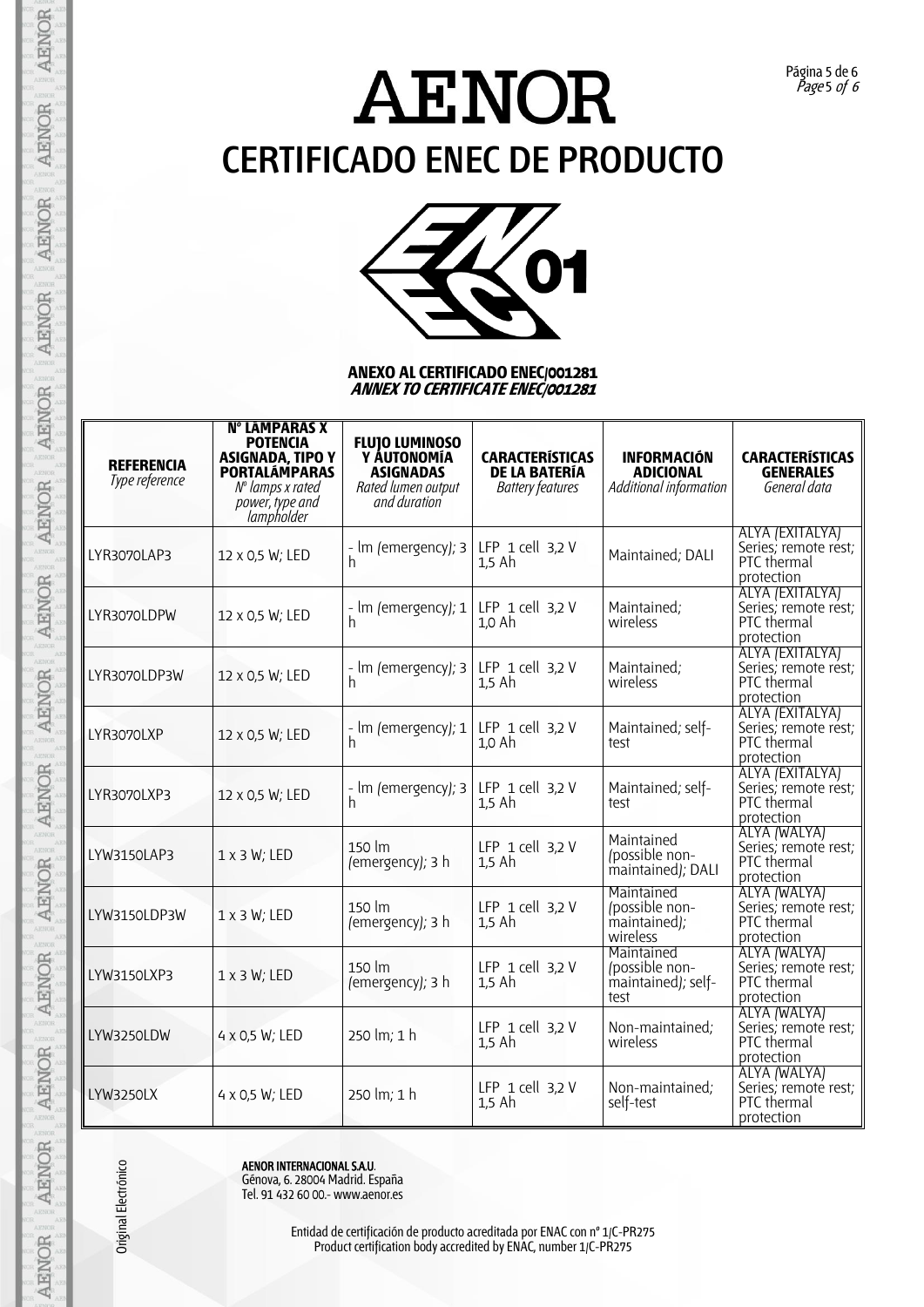Página 5 de 6 Page 5 of 6



#### **ANEXO AL CERTIFICADO ENEC/001281 ANNEX TO CERTIFICATE ENEC/001281**

| <b>REFERENCIA</b><br>Type reference | <b>N° LÁMPARAS X</b><br><b>POTENCIA</b><br><b>ASIGNADA, TIPO Y</b><br><b>PORTALÁMPARAS</b><br>$No$ lamps x rated<br>power, type and<br><i>lampholder</i> | <b>FLUJO LUMINOSO</b><br>Y ÁUTONOMÍA<br><b>ASIGNADAS</b><br>Rated lumen output<br>and duration | <b>CARACTERÍSTICAS</b><br><b>DE LA BATERÍA</b><br><b>Battery features</b> | <b>INFORMACIÓN</b><br><b>ADICIONAL</b><br>Additional information | <b>CARACTERÍSTICAS</b><br><b>GENERALES</b><br>General data           |
|-------------------------------------|----------------------------------------------------------------------------------------------------------------------------------------------------------|------------------------------------------------------------------------------------------------|---------------------------------------------------------------------------|------------------------------------------------------------------|----------------------------------------------------------------------|
| LYR3070LAP3                         | 12 x 0,5 W; LED                                                                                                                                          | - Im (emergency); $3$ LFP 1 cell 3,2 V<br>h                                                    | $1,5$ Ah                                                                  | Maintained; DALI                                                 | ALYA (EXITALYA)<br>Series; remote rest;<br>PTC thermal<br>protection |
| LYR3070LDPW                         | 12 x 0,5 W; LED                                                                                                                                          | - Im (emergency); 1<br>h                                                                       | LFP $1$ cell $3,2$ V<br>$1,0$ Ah                                          | Maintained;<br>wireless                                          | ALYA (EXITALYA)<br>Series; remote rest;<br>PTC thermal<br>protection |
| LYR3070LDP3W                        | 12 x 0,5 W; LED                                                                                                                                          | - Im (emergency); 3<br>h                                                                       | LFP $1$ cell $3,2$ V<br>$1,5$ Ah                                          | Maintained;<br>wireless                                          | ALYA (EXITALYA)<br>Series; remote rest;<br>PTC thermal<br>protection |
| LYR3070LXP                          | 12 x 0,5 W; LED                                                                                                                                          | - Im (emergency); 1<br>h                                                                       | LFP $1$ cell $3,2$ V<br>1,0 Ah                                            | Maintained; self-<br>test                                        | ALYA (EXITALYA)<br>Series; remote rest;<br>PTC thermal<br>protection |
| LYR3070LXP3                         | 12 x 0,5 W; LED                                                                                                                                          | - Im (emergency); 3<br>h                                                                       | LFP $1$ cell $3,2$ V<br>$1,5$ Ah                                          | Maintained; self-<br>test                                        | ALYA (EXITALYA)<br>Series; remote rest;<br>PTC thermal<br>protection |
| LYW3150LAP3                         | $1 \times 3$ W; LED                                                                                                                                      | 150 lm<br>(emergency); 3 h                                                                     | LFP 1 cell 3,2 V<br>$1,5$ Ah                                              | Maintained<br>/possible non-<br>maintained); DALI                | ALYA (WALYA)<br>Series; remote rest;<br>PTC thermal<br>protection    |
| LYW3150LDP3W                        | $1 \times 3$ W; LED                                                                                                                                      | $150 \mathrm{~fm}$<br>(emergency); 3 h                                                         | LFP $1$ cell $3,2$ V<br>$1,5$ Ah                                          | Maintained<br>/possible non-<br>maintained);<br>wireless         | ALYA (WALYA)<br>Series; remote rest;<br>PTC thermal<br>protection    |
| LYW3150LXP3                         | $1 \times 3$ W; LED                                                                                                                                      | 150 lm<br>(emergency); 3 h                                                                     | LFP $1$ cell $3,2$ V<br>$1.5$ Ah                                          | Maintained<br>/possible non-<br>maintained); self-<br>test       | ALYA (WALYA)<br>Series; remoté rest;<br>PTC thermal<br>protection    |
| LYW3250LDW                          | 4 x 0,5 W; LED                                                                                                                                           | 250 lm; 1 h                                                                                    | LFP $1$ cell $3,2$ V<br>$1,5$ Ah                                          | Non-maintained;<br>wireless                                      | ALYA (WALYA)<br>Series; remote rest;<br>PTC thermal<br>protection    |
| <b>LYW3250LX</b>                    | 4 x 0,5 W; LED                                                                                                                                           | 250 lm; 1 h                                                                                    | LFP $1$ cell $3,2$ V<br>$1,5$ Ah                                          | Non-maintained;<br>self-test                                     | ALYA (WALYA)<br>Series; remoté rest;<br>PTC thermal<br>protection    |

Original Electrónico

**AENOR** 

**AENOR** 

AENOR

AENOR

**AENOR** 

**AENOR** 

**AENOR** 

AENOR

**AENOR** 

AENOR

**AENOR** 

**AENOR** 

AENOR

AENOR

Example 12<br>
AENOR INTERNACIONAL SAU.<br>
Génova, 6. 28004 Madrid. Es<br>
Tel. 91 432 60 00.- www.aer<br>
Entidad de certific<br>
Product certific Génova, 6. 28004 Madrid. España Tel. 91 432 60 00.- www.aenor.es

Entidad de certificación de producto acreditada por ENAC con nº 1/C-PR275 Product certification body accredited by ENAC, number 1/C-PR275